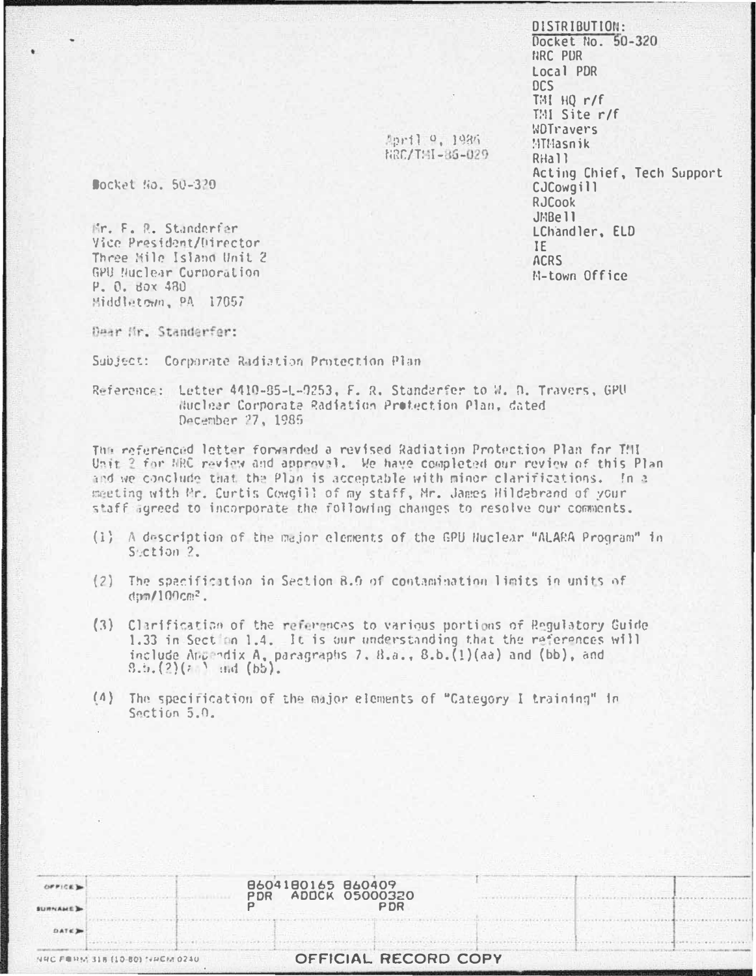DISTRIBUTION: Docket No. 50-320 NRC PUR Local PDR DCS THI HO r/f  $TM$  Site  $r/f$ WDTravers MTMasnik R<sub>Ha</sub>11 Acting Chief, Tech Support CJCowgill **RJCook** JMBell LChandler, ELD IF **ACRS** M-town Office

April 0, 1986 RRC/TMI-86-029

Bocket No. 50-320

Mr. F. R. Standerfer Vice President/Director Three Sile Island Unit 2 GPU Nuclear Corporation P. O. Box 480 Middletown, PA 17057

Dear Hr. Standerfer:

Subject: Corporate Radiation Protection Plan

Reference: Letter 4410-85-L-0253, F. R. Standerfer to W. D. Travers, GPU Huclear Corporate Radiation Protection Plan, dated December 27, 1985

The referenced letter forwarded a revised Radiation Protection Plan for TMI Unit 2 for NRC review and approval. We have completed our review of this Plan and we conclude that the Plan is acceptable with minor clarifications. In a meeting with Mr. Curtis Cowgill of my staff, Mr. James Hildebrand of your staff agreed to incorporate the following changes to resolve our comments.

- (1) A description of the major elements of the GPU Huclear "ALARA Program" in Section 2.
- (2) The specification in Section 8.0 of contamination limits in units of  $\frac{100}{100}$ cm<sup>2</sup>.
- (3) Clarification of the references to various portions of Regulatory Guide 1.33 in Section 1.4. It is our understanding that the references will include Appendix A, paragraphs 7,  $B_4a_3$ ,  $B_5b_3(1)(aa)$  and (bb), and  $9.5.(2)(? )$  and  $(b5).$
- (4) The specification of the major elements of "Category I training" in Section 5.0.

| SURNAME D   |                                | 8604180165 860409<br><b>ADDCK 05000320</b><br><b>PDR</b> | P DR                 |  |  |
|-------------|--------------------------------|----------------------------------------------------------|----------------------|--|--|
| <b>DATE</b> |                                |                                                          |                      |  |  |
|             | NHC FORM 318 (10-80) NHCM 0240 |                                                          | OFFICIAL RECORD COPY |  |  |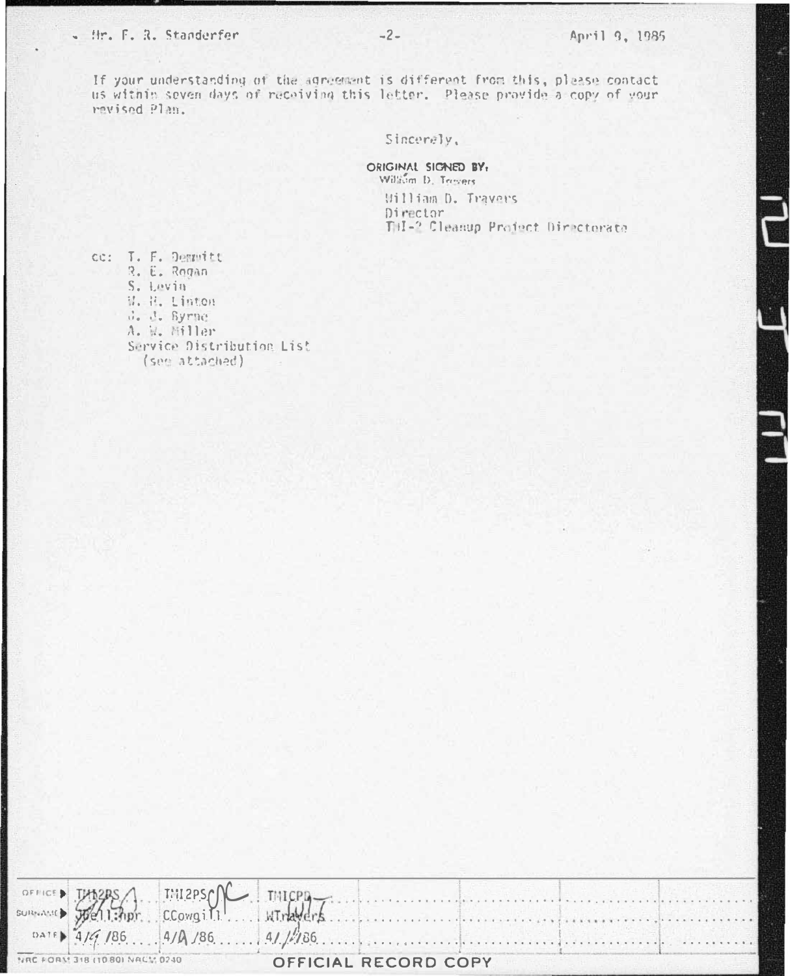## - Hr. F. R. Standerfer

If your understanding of the agreement is different from this, please contact us within seven days of receiving this letter. Please provide a copy of your revised Plan.

Sincerely,

ORIGINAL SIGNED BY: William D. Trovers William D. Travers Director THI-2 Cleanup Project Directorate

cc: T. F. Demnitt R. E. Rogan S. Levin W. H. Linton d. d. Syrne A. H. Miller Service Distribution List (see attached)

|                                                              |  |  |  |  |  | OFFICED THORRS MIRPSON THICPD THICPL CONGITER COMMUNICATION OF THE COMMUNICATION OF THE COMMUNICATION OF THE COMMUNICATION OF THE COMMUNICATION OF THE COMMUNICATION OF THE COMMUNICATION OF THE COMMUNICATION OF THE COMMUNIC |  |  |  |
|--------------------------------------------------------------|--|--|--|--|--|--------------------------------------------------------------------------------------------------------------------------------------------------------------------------------------------------------------------------------|--|--|--|
|                                                              |  |  |  |  |  |                                                                                                                                                                                                                                |  |  |  |
|                                                              |  |  |  |  |  |                                                                                                                                                                                                                                |  |  |  |
| NRC FORM 318 (1080) NACM 0240<br><b>OFFICIAL RECORD COPY</b> |  |  |  |  |  |                                                                                                                                                                                                                                |  |  |  |